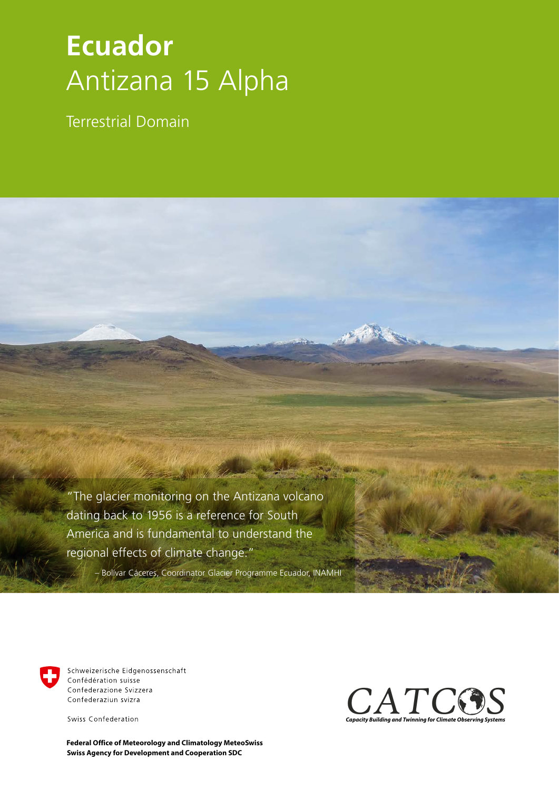## **Ecuador** Antizana 15 Alpha

Terrestrial Domain

"The glacier monitoring on the Antizana volcano dating back to 1956 is a reference for South America and is fundamental to understand the regional effects of climate change."

– Bolívar Cáceres, Coordinator Glacier Programme Ecuador, INAMHI



Schweizerische Eidgenossenschaft Confédération suisse Confederazione Svizzera Confederaziun svizra

Swiss Confederation

**Swiss Agency for Development and Cooperation SDC Federal Office of Meteorology and Climatology MeteoSwiss**